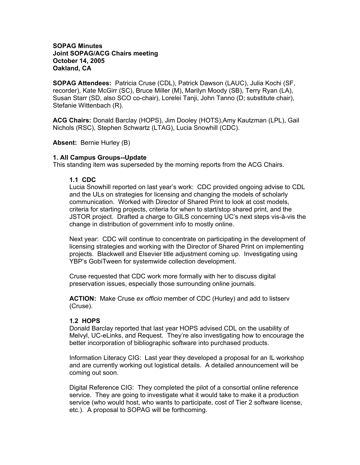#### **SOPAG Minutes Joint SOPAG/ACG Chairs meeting October 14, 2005 Oakland, CA**

**SOPAG Attendees:** Patricia Cruse (CDL), Patrick Dawson (LAUC), Julia Kochi (SF, recorder), Kate McGirr (SC), Bruce Miller (M), Marilyn Moody (SB), Terry Ryan (LA), Susan Starr (SD, also SCO co-chair), Lorelei Tanji, John Tanno (D; substitute chair), Stefanie Wittenbach (R).

**ACG Chairs:** Donald Barclay (HOPS), Jim Dooley (HOTS),Amy Kautzman (LPL), Gail Nichols (RSC), Stephen Schwartz (LTAG), Lucia Snowhill (CDC).

**Absent:** Bernie Hurley (B)

#### **1. All Campus Groups--Update**

This standing item was superseded by the morning reports from the ACG Chairs.

#### **1.1 CDC**

Lucia Snowhill reported on last year's work: CDC provided ongoing advise to CDL and the ULs on strategies for licensing and changing the models of scholarly communication. Worked with Director of Shared Print to look at cost models, criteria for starting projects, criteria for when to start/stop shared print, and the JSTOR project. Drafted a charge to GILS concerning UC's next steps vis-à-vis the change in distribution of government info to mostly online.

Next year: CDC will continue to concentrate on participating in the development of licensing strategies and working with the Director of Shared Print on implementing projects. Blackwell and Elsevier title adjustment coming up. Investigating using YBP's GobiTween for systemwide collection development.

Cruse requested that CDC work more formally with her to discuss digital preservation issues, especially those surrounding online journals.

**ACTION:** Make Cruse *ex officio* member of CDC (Hurley) and add to listserv (Cruse).

# **1.2 HOPS**

Donald Barclay reported that last year HOPS advised CDL on the usability of Melvyl, UC-eLinks, and Request. They're also investigating how to encourage the better incorporation of bibliographic software into purchased products.

Information Literacy CIG: Last year they developed a proposal for an IL workshop and are currently working out logistical details. A detailed announcement will be coming out soon.

Digital Reference CIG: They completed the pilot of a consortial online reference service. They are going to investigate what it would take to make it a production service (who would host, who wants to participate, cost of Tier 2 software license, etc.). A proposal to SOPAG will be forthcoming.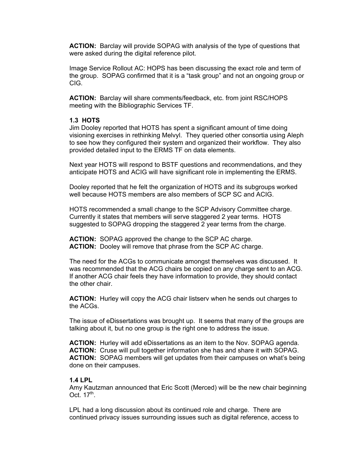**ACTION:** Barclay will provide SOPAG with analysis of the type of questions that were asked during the digital reference pilot.

Image Service Rollout AC: HOPS has been discussing the exact role and term of the group. SOPAG confirmed that it is a "task group" and not an ongoing group or CIG.

**ACTION:** Barclay will share comments/feedback, etc. from joint RSC/HOPS meeting with the Bibliographic Services TF.

#### **1.3 HOTS**

Jim Dooley reported that HOTS has spent a significant amount of time doing visioning exercises in rethinking Melvyl. They queried other consortia using Aleph to see how they configured their system and organized their workflow. They also provided detailed input to the ERMS TF on data elements.

Next year HOTS will respond to BSTF questions and recommendations, and they anticipate HOTS and ACIG will have significant role in implementing the ERMS.

Dooley reported that he felt the organization of HOTS and its subgroups worked well because HOTS members are also members of SCP SC and ACIG.

HOTS recommended a small change to the SCP Advisory Committee charge. Currently it states that members will serve staggered 2 year terms. HOTS suggested to SOPAG dropping the staggered 2 year terms from the charge.

**ACTION:** SOPAG approved the change to the SCP AC charge. **ACTION:** Dooley will remove that phrase from the SCP AC charge.

The need for the ACGs to communicate amongst themselves was discussed. It was recommended that the ACG chairs be copied on any charge sent to an ACG. If another ACG chair feels they have information to provide, they should contact the other chair.

**ACTION:** Hurley will copy the ACG chair listserv when he sends out charges to the ACGs.

The issue of eDissertations was brought up. It seems that many of the groups are talking about it, but no one group is the right one to address the issue.

**ACTION:** Hurley will add eDissertations as an item to the Nov. SOPAG agenda. **ACTION:** Cruse will pull together information she has and share it with SOPAG. **ACTION:** SOPAG members will get updates from their campuses on what's being done on their campuses.

#### **1.4 LPL**

Amy Kautzman announced that Eric Scott (Merced) will be the new chair beginning Oct. 17<sup>th</sup>.

LPL had a long discussion about its continued role and charge. There are continued privacy issues surrounding issues such as digital reference, access to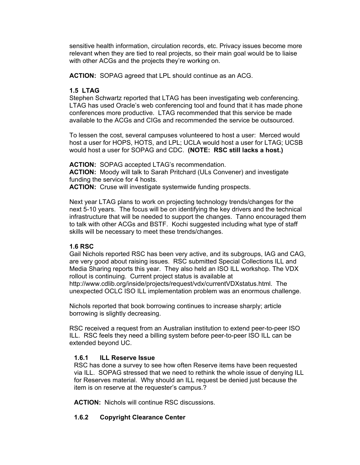sensitive health information, circulation records, etc. Privacy issues become more relevant when they are tied to real projects, so their main goal would be to liaise with other ACGs and the projects they're working on.

**ACTION:** SOPAG agreed that LPL should continue as an ACG.

# **1.5 LTAG**

Stephen Schwartz reported that LTAG has been investigating web conferencing. LTAG has used Oracle's web conferencing tool and found that it has made phone conferences more productive. LTAG recommended that this service be made available to the ACGs and CIGs and recommended the service be outsourced.

To lessen the cost, several campuses volunteered to host a user: Merced would host a user for HOPS, HOTS, and LPL; UCLA would host a user for LTAG; UCSB would host a user for SOPAG and CDC. **(NOTE: RSC still lacks a host.)** 

**ACTION:** SOPAG accepted LTAG's recommendation. **ACTION:** Moody will talk to Sarah Pritchard (ULs Convener) and investigate funding the service for 4 hosts. **ACTION:** Cruse will investigate systemwide funding prospects.

Next year LTAG plans to work on projecting technology trends/changes for the next 5-10 years. The focus will be on identifying the key drivers and the technical infrastructure that will be needed to support the changes. Tanno encouraged them to talk with other ACGs and BSTF. Kochi suggested including what type of staff skills will be necessary to meet these trends/changes.

# **1.6 RSC**

Gail Nichols reported RSC has been very active, and its subgroups, IAG and CAG, are very good about raising issues. RSC submitted Special Collections ILL and Media Sharing reports this year. They also held an ISO ILL workshop. The VDX rollout is continuing. Current project status is available at http://www.cdlib.org/inside/projects/request/vdx/currentVDXstatus.html. The unexpected OCLC ISO ILL implementation problem was an enormous challenge.

Nichols reported that book borrowing continues to increase sharply; article borrowing is slightly decreasing.

RSC received a request from an Australian institution to extend peer-to-peer ISO ILL. RSC feels they need a billing system before peer-to-peer ISO ILL can be extended beyond UC.

# **1.6.1 ILL Reserve Issue**

RSC has done a survey to see how often Reserve items have been requested via ILL. SOPAG stressed that we need to rethink the whole issue of denying ILL for Reserves material. Why should an ILL request be denied just because the item is on reserve at the requester's campus.?

**ACTION:** Nichols will continue RSC discussions.

# **1.6.2 Copyright Clearance Center**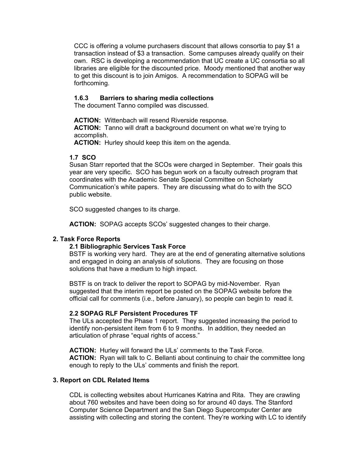CCC is offering a volume purchasers discount that allows consortia to pay \$1 a transaction instead of \$3 a transaction. Some campuses already qualify on their own. RSC is developing a recommendation that UC create a UC consortia so all libraries are eligible for the discounted price. Moody mentioned that another way to get this discount is to join Amigos. A recommendation to SOPAG will be forthcoming.

# **1.6.3 Barriers to sharing media collections**

The document Tanno compiled was discussed.

**ACTION:** Wittenbach will resend Riverside response. **ACTION:** Tanno will draft a background document on what we're trying to accomplish.

**ACTION:** Hurley should keep this item on the agenda.

#### **1.7 SCO**

Susan Starr reported that the SCOs were charged in September. Their goals this year are very specific. SCO has begun work on a faculty outreach program that coordinates with the Academic Senate Special Committee on Scholarly Communication's white papers. They are discussing what do to with the SCO public website.

SCO suggested changes to its charge.

**ACTION:** SOPAG accepts SCOs' suggested changes to their charge.

# **2. Task Force Reports**

# **2.1 Bibliographic Services Task Force**

BSTF is working very hard. They are at the end of generating alternative solutions and engaged in doing an analysis of solutions. They are focusing on those solutions that have a medium to high impact.

BSTF is on track to deliver the report to SOPAG by mid-November. Ryan suggested that the interim report be posted on the SOPAG website before the official call for comments (i.e., before January), so people can begin to read it.

# **2.2 SOPAG RLF Persistent Procedures TF**

The ULs accepted the Phase 1 report. They suggested increasing the period to identify non-persistent item from 6 to 9 months. In addition, they needed an articulation of phrase "equal rights of access."

**ACTION:** Hurley will forward the ULs' comments to the Task Force. **ACTION:** Ryan will talk to C. Bellanti about continuing to chair the committee long enough to reply to the ULs' comments and finish the report.

# **3. Report on CDL Related Items**

CDL is collecting websites about Hurricanes Katrina and Rita. They are crawling about 760 websites and have been doing so for around 40 days. The Stanford Computer Science Department and the San Diego Supercomputer Center are assisting with collecting and storing the content. They're working with LC to identify